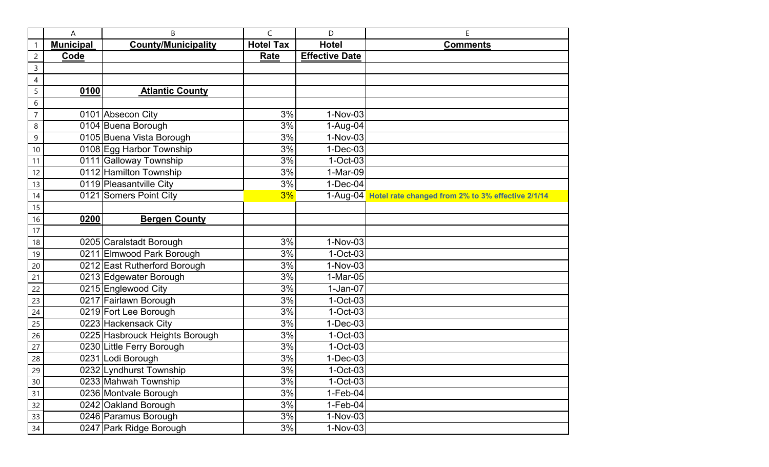|                 | Α                | B                              | C                | D                     | E                                                          |
|-----------------|------------------|--------------------------------|------------------|-----------------------|------------------------------------------------------------|
| $\mathbf{1}$    | <b>Municipal</b> | <b>County/Municipality</b>     | <b>Hotel Tax</b> | <b>Hotel</b>          | <b>Comments</b>                                            |
| $\overline{c}$  | Code             |                                | Rate             | <b>Effective Date</b> |                                                            |
| 3               |                  |                                |                  |                       |                                                            |
| 4               |                  |                                |                  |                       |                                                            |
| 5               | 0100             | <b>Atlantic County</b>         |                  |                       |                                                            |
| 6               |                  |                                |                  |                       |                                                            |
| $\overline{7}$  |                  | 0101 Absecon City              | 3%               | 1-Nov-03              |                                                            |
| 8               |                  | 0104 Buena Borough             | 3%               | 1-Aug-04              |                                                            |
| 9               |                  | 0105 Buena Vista Borough       | 3%               | 1-Nov-03              |                                                            |
| 10              |                  | 0108 Egg Harbor Township       | 3%               | $1-Dec-03$            |                                                            |
| 11              |                  | 0111 Galloway Township         | 3%               | $1-Oct-03$            |                                                            |
| 12              |                  | 0112 Hamilton Township         | 3%               | 1-Mar-09              |                                                            |
| 13              |                  | 0119 Pleasantville City        | 3%               | $1-Dec-04$            |                                                            |
| 14              |                  | 0121 Somers Point City         | 3%               |                       | 1-Aug-04 Hotel rate changed from 2% to 3% effective 2/1/14 |
| 15              |                  |                                |                  |                       |                                                            |
| 16              | 0200             | <b>Bergen County</b>           |                  |                       |                                                            |
| 17              |                  |                                |                  |                       |                                                            |
| 18              |                  | 0205 Caralstadt Borough        | 3%               | 1-Nov-03              |                                                            |
| 19              |                  | 0211 Elmwood Park Borough      | 3%               | $1-Oct-03$            |                                                            |
| 20              |                  | 0212 East Rutherford Borough   | 3%               | 1-Nov-03              |                                                            |
| 21              |                  | 0213 Edgewater Borough         | 3%               | 1-Mar-05              |                                                            |
| 22              |                  | 0215 Englewood City            | 3%               | $1-Jan-07$            |                                                            |
| 23              |                  | 0217 Fairlawn Borough          | 3%               | $1-Oct-03$            |                                                            |
| 24              |                  | 0219 Fort Lee Borough          | 3%               | $1-Oct-03$            |                                                            |
| 25              |                  | 0223 Hackensack City           | 3%               | $1-Dec-03$            |                                                            |
| 26              |                  | 0225 Hasbrouck Heights Borough | 3%               | $1$ -Oct-03           |                                                            |
| 27              |                  | 0230 Little Ferry Borough      | 3%               | $1-Oct-03$            |                                                            |
| 28              |                  | 0231 Lodi Borough              | 3%               | $1-Dec-03$            |                                                            |
| $\overline{29}$ |                  | 0232 Lyndhurst Township        | $3%$             | 1-Oct-03              |                                                            |
| 30              |                  | 0233 Mahwah Township           | 3%               | $1-Oct-03$            |                                                            |
| 31              |                  | 0236 Montvale Borough          | 3%               | $1-Feb-04$            |                                                            |
| 32              |                  | 0242 Oakland Borough           | 3%               | $1-Feb-04$            |                                                            |
| 33              |                  | 0246 Paramus Borough           | 3%               | 1-Nov-03              |                                                            |
| 34              |                  | 0247 Park Ridge Borough        | 3%               | 1-Nov-03              |                                                            |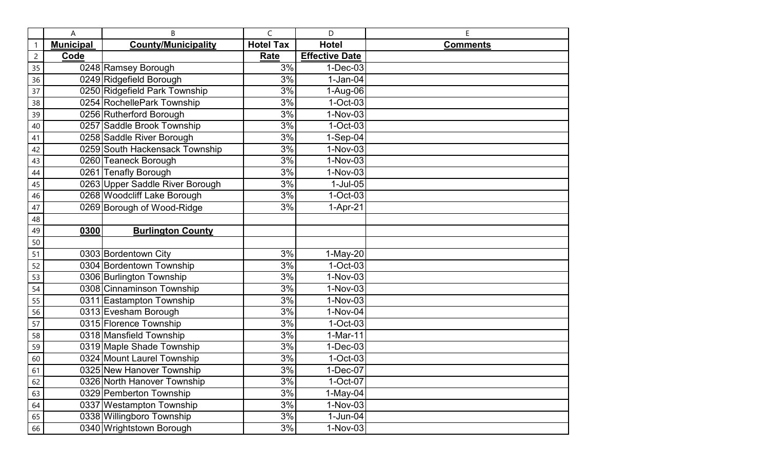|                | A                | B                               | $\mathsf{C}$     | D                     | E               |
|----------------|------------------|---------------------------------|------------------|-----------------------|-----------------|
| 1              | <b>Municipal</b> | <b>County/Municipality</b>      | <b>Hotel Tax</b> | <b>Hotel</b>          | <b>Comments</b> |
| $\overline{c}$ | Code             |                                 | Rate             | <b>Effective Date</b> |                 |
| 35             |                  | 0248 Ramsey Borough             | 3%               | $1-Dec-03$            |                 |
| 36             |                  | 0249 Ridgefield Borough         | 3%               | $1-Jan-04$            |                 |
| 37             |                  | 0250 Ridgefield Park Township   | 3%               | 1-Aug-06              |                 |
| 38             |                  | 0254 RochellePark Township      | 3%               | $1-Oct-03$            |                 |
| 39             |                  | 0256 Rutherford Borough         | 3%               | 1-Nov-03              |                 |
| 40             |                  | 0257 Saddle Brook Township      | 3%               | $1-Oct-03$            |                 |
| 41             |                  | 0258 Saddle River Borough       | 3%               | 1-Sep-04              |                 |
| 42             |                  | 0259 South Hackensack Township  | 3%               | 1-Nov-03              |                 |
| 43             |                  | 0260 Teaneck Borough            | 3%               | $1-Nov-03$            |                 |
| 44             |                  | 0261 Tenafly Borough            | 3%               | 1-Nov-03              |                 |
| 45             |                  | 0263 Upper Saddle River Borough | 3%               | $1-Jul-05$            |                 |
| 46             |                  | 0268 Woodcliff Lake Borough     | 3%               | $1-Oct-03$            |                 |
| 47             |                  | 0269 Borough of Wood-Ridge      | 3%               | $1-Apr-21$            |                 |
| 48             |                  |                                 |                  |                       |                 |
| 49             | 0300             | <b>Burlington County</b>        |                  |                       |                 |
| 50             |                  |                                 |                  |                       |                 |
| 51             |                  | 0303 Bordentown City            | 3%               | 1-May-20              |                 |
| 52             |                  | 0304 Bordentown Township        | 3%               | $1-Oct-03$            |                 |
| 53             |                  | 0306 Burlington Township        | 3%               | 1-Nov-03              |                 |
| 54             |                  | 0308 Cinnaminson Township       | 3%               | 1-Nov-03              |                 |
| 55             |                  | 0311 Eastampton Township        | 3%               | 1-Nov-03              |                 |
| 56             |                  | 0313 Evesham Borough            | 3%               | 1-Nov-04              |                 |
| 57             |                  | 0315 Florence Township          | 3%               | $1-Oct-03$            |                 |
| 58             |                  | 0318 Mansfield Township         | 3%               | $1-Mar-11$            |                 |
| 59             |                  | 0319 Maple Shade Township       | 3%               | $1-Dec-03$            |                 |
| 60             |                  | 0324 Mount Laurel Township      | 3%               | $1-Oct-03$            |                 |
| 61             |                  | 0325 New Hanover Township       | 3%               | 1-Dec-07              |                 |
| 62             |                  | 0326 North Hanover Township     | 3%               | 1-Oct-07              |                 |
| 63             |                  | 0329 Pemberton Township         | 3%               | $1-May-04$            |                 |
| 64             |                  | 0337 Westampton Township        | 3%               | $1-Nov-03$            |                 |
| 65             |                  | 0338 Willingboro Township       | 3%               | $1-Jun-04$            |                 |
| 66             |                  | 0340 Wrightstown Borough        | 3%               | 1-Nov-03              |                 |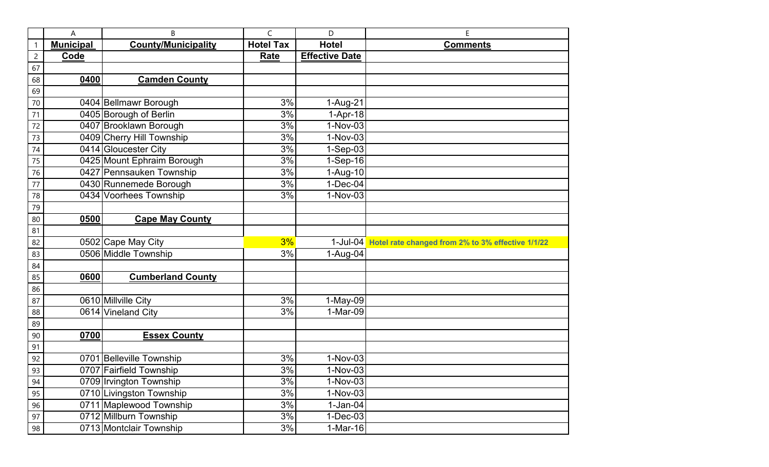|                 | Α                | B                          | C                | D                     | E                                                          |
|-----------------|------------------|----------------------------|------------------|-----------------------|------------------------------------------------------------|
| 1               | <b>Municipal</b> | <b>County/Municipality</b> | <b>Hotel Tax</b> | <b>Hotel</b>          | <b>Comments</b>                                            |
| $\overline{c}$  | Code             |                            | <b>Rate</b>      | <b>Effective Date</b> |                                                            |
| 67              |                  |                            |                  |                       |                                                            |
| 68              | 0400             | <b>Camden County</b>       |                  |                       |                                                            |
| 69              |                  |                            |                  |                       |                                                            |
| 70              |                  | 0404 Bellmawr Borough      | 3%               | 1-Aug-21              |                                                            |
| 71              |                  | 0405 Borough of Berlin     | 3%               | $1-Apr-18$            |                                                            |
| 72              |                  | 0407 Brooklawn Borough     | 3%               | 1-Nov-03              |                                                            |
| 73              |                  | 0409 Cherry Hill Township  | 3%               | 1-Nov-03              |                                                            |
| 74              |                  | 0414 Gloucester City       | 3%               | $1-Sep-03$            |                                                            |
| 75              |                  | 0425 Mount Ephraim Borough | 3%               | $1-Sep-16$            |                                                            |
| 76              |                  | 0427 Pennsauken Township   | 3%               | 1-Aug-10              |                                                            |
| 77              |                  | 0430 Runnemede Borough     | 3%               | $1-Dec-04$            |                                                            |
| 78              |                  | 0434 Voorhees Township     | 3%               | $1-Nov-03$            |                                                            |
| 79              |                  |                            |                  |                       |                                                            |
| 80              | 0500             | <b>Cape May County</b>     |                  |                       |                                                            |
| 81              |                  |                            |                  |                       |                                                            |
| 82              |                  | 0502 Cape May City         | 3%               |                       | 1-Jul-04 Hotel rate changed from 2% to 3% effective 1/1/22 |
| 83              |                  | 0506 Middle Township       | 3%               | 1-Aug-04              |                                                            |
| 84              |                  |                            |                  |                       |                                                            |
| 85              | 0600             | <b>Cumberland County</b>   |                  |                       |                                                            |
| 86              |                  |                            |                  |                       |                                                            |
| 87              |                  | 0610 Millville City        | 3%               | 1-May-09              |                                                            |
| 88              |                  | 0614 Vineland City         | 3%               | 1-Mar-09              |                                                            |
| 89              |                  |                            |                  |                       |                                                            |
| 90              | 0700             | <b>Essex County</b>        |                  |                       |                                                            |
| 91              |                  |                            |                  |                       |                                                            |
| 92              |                  | 0701 Belleville Township   | 3%               | $1-Nov-03$            |                                                            |
| $\overline{93}$ |                  | 0707 Fairfield Township    | 3%               | 1-Nov-03              |                                                            |
| 94              |                  | 0709 Irvington Township    | 3%               | 1-Nov-03              |                                                            |
| 95              |                  | 0710 Livingston Township   | 3%               | $1-Nov-03$            |                                                            |
| 96              |                  | 0711 Maplewood Township    | 3%               | $1-Jan-04$            |                                                            |
| 97              |                  | 0712 Millburn Township     | 3%               | $1-Dec-03$            |                                                            |
| 98              |                  | 0713 Montclair Township    | 3%               | $1-Mar-16$            |                                                            |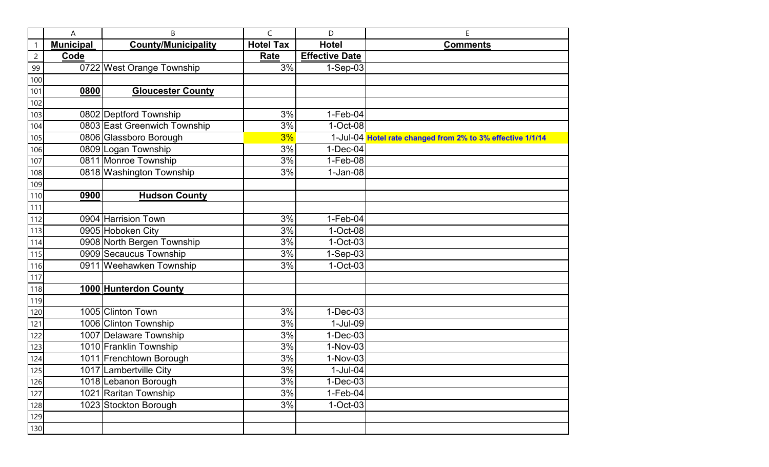|                | A                | B                            | C                | D                     | E                                                          |
|----------------|------------------|------------------------------|------------------|-----------------------|------------------------------------------------------------|
| $\mathbf{1}$   | <b>Municipal</b> | <b>County/Municipality</b>   | <b>Hotel Tax</b> | <b>Hotel</b>          | <b>Comments</b>                                            |
| $\overline{c}$ | Code             |                              | Rate             | <b>Effective Date</b> |                                                            |
| 99             |                  | 0722 West Orange Township    | 3%               | $1-Sep-03$            |                                                            |
| 100            |                  |                              |                  |                       |                                                            |
| 101            | 0800             | <b>Gloucester County</b>     |                  |                       |                                                            |
| 102            |                  |                              |                  |                       |                                                            |
| 103            |                  | 0802 Deptford Township       | 3%               | $1-Feb-04$            |                                                            |
| 104            |                  | 0803 East Greenwich Township | 3%               | 1-Oct-08              |                                                            |
| 105            |                  | 0806 Glassboro Borough       | 3%               |                       | 1-Jul-04 Hotel rate changed from 2% to 3% effective 1/1/14 |
| 106            |                  | 0809 Logan Township          | 3%               | $1-Dec-04$            |                                                            |
| 107            |                  | 0811 Monroe Township         | 3%               | $1-Feb-08$            |                                                            |
| 108            |                  | 0818 Washington Township     | 3%               | $1-Jan-08$            |                                                            |
| 109            |                  |                              |                  |                       |                                                            |
| 110            | 0900             | <b>Hudson County</b>         |                  |                       |                                                            |
| 111            |                  |                              |                  |                       |                                                            |
| 112            |                  | 0904 Harrision Town          | 3%               | $1-Feb-04$            |                                                            |
| 113            |                  | 0905 Hoboken City            | 3%               | 1-Oct-08              |                                                            |
| 114            |                  | 0908 North Bergen Township   | 3%               | $1-Oct-03$            |                                                            |
| 115            |                  | 0909 Secaucus Township       | 3%               | 1-Sep-03              |                                                            |
| 116            |                  | 0911 Weehawken Township      | 3%               | $1-Oct-03$            |                                                            |
| 117            |                  |                              |                  |                       |                                                            |
| 118            |                  | 1000 Hunterdon County        |                  |                       |                                                            |
| 119            |                  |                              |                  |                       |                                                            |
| 120            |                  | 1005 Clinton Town            | 3%               | $1-Dec-03$            |                                                            |
| 121            |                  | 1006 Clinton Township        | 3%               | 1-Jul-09              |                                                            |
| 122            |                  | 1007 Delaware Township       | 3%               | $1-Dec-03$            |                                                            |
| 123            |                  | 1010 Franklin Township       | 3%               | 1-Nov-03              |                                                            |
| 124            |                  | 1011 Frenchtown Borough      | 3%               | 1-Nov-03              |                                                            |
| 125            |                  | 1017 Lambertville City       | $3%$             | 1-Jul-04              |                                                            |
| 126            |                  | 1018 Lebanon Borough         | 3%               | $1-Dec-03$            |                                                            |
| 127            |                  | 1021 Raritan Township        | 3%               | $1-Feb-04$            |                                                            |
| 128            |                  | 1023 Stockton Borough        | 3%               | $1-Oct-03$            |                                                            |
| 129            |                  |                              |                  |                       |                                                            |
| 130            |                  |                              |                  |                       |                                                            |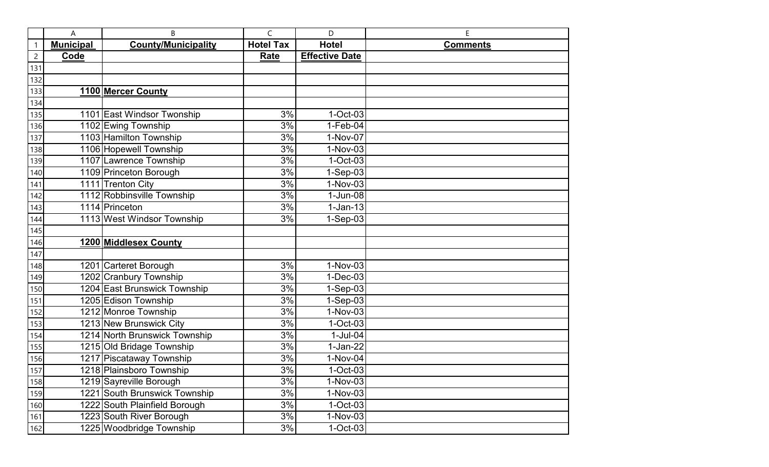|                | A                | B                             | C                | D                     | E               |
|----------------|------------------|-------------------------------|------------------|-----------------------|-----------------|
| 1              | <b>Municipal</b> | <b>County/Municipality</b>    | <b>Hotel Tax</b> | <b>Hotel</b>          | <b>Comments</b> |
| $\overline{2}$ | Code             |                               | Rate             | <b>Effective Date</b> |                 |
| 131            |                  |                               |                  |                       |                 |
| 132            |                  |                               |                  |                       |                 |
| 133            |                  | 1100 Mercer County            |                  |                       |                 |
| 134            |                  |                               |                  |                       |                 |
| 135            |                  | 1101 East Windsor Twonship    | 3%               | $1-Oct-03$            |                 |
| 136            |                  | 1102 Ewing Township           | 3%               | $1-Feb-04$            |                 |
| 137            |                  | 1103 Hamilton Township        | 3%               | 1-Nov-07              |                 |
| 138            |                  | 1106 Hopewell Township        | 3%               | 1-Nov-03              |                 |
| 139            |                  | 1107 Lawrence Township        | 3%               | $1-Oct-03$            |                 |
| 140            |                  | 1109 Princeton Borough        | 3%               | $1-Sep-03$            |                 |
| 141            |                  | 1111 Trenton City             | 3%               | 1-Nov-03              |                 |
| 142            |                  | 1112 Robbinsville Township    | 3%               | $1$ -Jun-08           |                 |
| 143            |                  | 1114 Princeton                | 3%               | $1-Jan-13$            |                 |
| 144            |                  | 1113 West Windsor Township    | 3%               | $1-Sep-03$            |                 |
| 145            |                  |                               |                  |                       |                 |
| 146            |                  | 1200 Middlesex County         |                  |                       |                 |
| 147            |                  |                               |                  |                       |                 |
| 148            |                  | 1201 Carteret Borough         | 3%               | 1-Nov-03              |                 |
| 149            |                  | 1202 Cranbury Township        | 3%               | $1-Dec-03$            |                 |
| 150            |                  | 1204 East Brunswick Township  | 3%               | $1-Sep-03$            |                 |
| 151            |                  | 1205 Edison Township          | 3%               | $1-Sep-03$            |                 |
| 152            |                  | 1212 Monroe Township          | 3%               | 1-Nov-03              |                 |
| 153            |                  | 1213 New Brunswick City       | 3%               | $1-Oct-03$            |                 |
| 154            |                  | 1214 North Brunswick Township | 3%               | $1-Jul-04$            |                 |
| 155            |                  | 1215 Old Bridage Township     | 3%               | $1-Jan-22$            |                 |
| 156            |                  | 1217 Piscataway Township      | 3%               | 1-Nov-04              |                 |
| 157            |                  | 1218 Plainsboro Township      | 3%               | $1-Oct-03$            |                 |
| 158            |                  | 1219 Sayreville Borough       | 3%               | 1-Nov-03              |                 |
| 159            |                  | 1221 South Brunswick Township | 3%               | $1-Nov-03$            |                 |
| 160            |                  | 1222 South Plainfield Borough | 3%               | $1-Oct-03$            |                 |
| 161            |                  | 1223 South River Borough      | 3%               | $1-Nov-03$            |                 |
| 162            |                  | 1225 Woodbridge Township      | 3%               | $1-Oct-03$            |                 |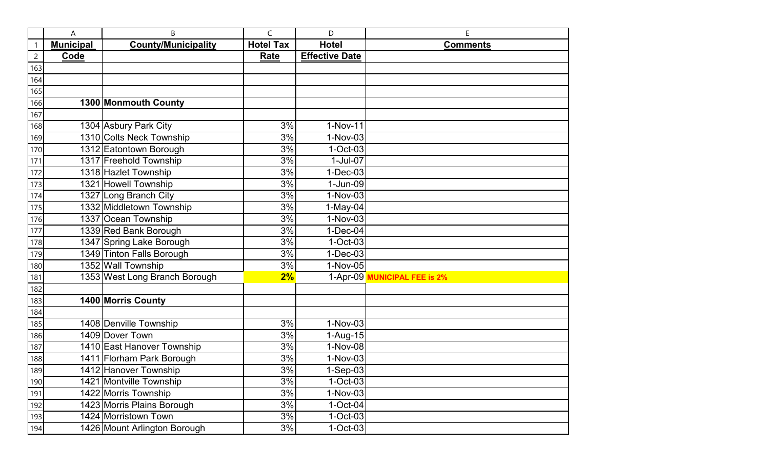|                | A                | B                             | C                | D                     | E                            |
|----------------|------------------|-------------------------------|------------------|-----------------------|------------------------------|
| 1              | <b>Municipal</b> | <b>County/Municipality</b>    | <b>Hotel Tax</b> | <b>Hotel</b>          | <b>Comments</b>              |
| $\overline{c}$ | Code             |                               | Rate             | <b>Effective Date</b> |                              |
| 163            |                  |                               |                  |                       |                              |
| 164            |                  |                               |                  |                       |                              |
| 165            |                  |                               |                  |                       |                              |
| 166            |                  | 1300 Monmouth County          |                  |                       |                              |
| 167            |                  |                               |                  |                       |                              |
| 168            |                  | 1304 Asbury Park City         | 3%               | 1-Nov-11              |                              |
| 169            |                  | 1310 Colts Neck Township      | 3%               | 1-Nov-03              |                              |
| 170            |                  | 1312 Eatontown Borough        | 3%               | $1-Oct-03$            |                              |
| 171            |                  | 1317 Freehold Township        | 3%               | 1-Jul-07              |                              |
| 172            |                  | 1318 Hazlet Township          | 3%               | $1-Dec-03$            |                              |
| 173            |                  | 1321 Howell Township          | 3%               | 1-Jun-09              |                              |
| 174            |                  | 1327 Long Branch City         | 3%               | 1-Nov-03              |                              |
| 175            |                  | 1332 Middletown Township      | 3%               | $1-May-04$            |                              |
| 176            |                  | 1337 Ocean Township           | 3%               | 1-Nov-03              |                              |
| 177            |                  | 1339 Red Bank Borough         | 3%               | $1-Dec-04$            |                              |
| 178            |                  | 1347 Spring Lake Borough      | 3%               | $1-Oct-03$            |                              |
| 179            |                  | 1349 Tinton Falls Borough     | 3%               | $1-Dec-03$            |                              |
| 180            |                  | 1352 Wall Township            | 3%               | 1-Nov-05              |                              |
| 181            |                  | 1353 West Long Branch Borough | 2%               |                       | 1-Apr-09 MUNICIPAL FEE is 2% |
| 182            |                  |                               |                  |                       |                              |
| 183            |                  | 1400 Morris County            |                  |                       |                              |
| 184            |                  |                               |                  |                       |                              |
| 185            |                  | 1408 Denville Township        | 3%               | $1-Nov-03$            |                              |
| 186            |                  | 1409 Dover Town               | 3%               | 1-Aug-15              |                              |
| 187            |                  | 1410 East Hanover Township    | 3%               | 1-Nov-08              |                              |
| 188            |                  | 1411 Florham Park Borough     | 3%               | 1-Nov-03              |                              |
| 189            |                  | 1412 Hanover Township         | 3%               | 1-Sep-03              |                              |
| 190            |                  | 1421 Montville Township       | 3%               | $1-Oct-03$            |                              |
| 191            |                  | 1422 Morris Township          | 3%               | 1-Nov-03              |                              |
| 192            |                  | 1423 Morris Plains Borough    | 3%               | $1-Oct-04$            |                              |
| 193            |                  | 1424 Morristown Town          | 3%               | $1-Oct-03$            |                              |
| 194            |                  | 1426 Mount Arlington Borough  | 3%               | $1-Oct-03$            |                              |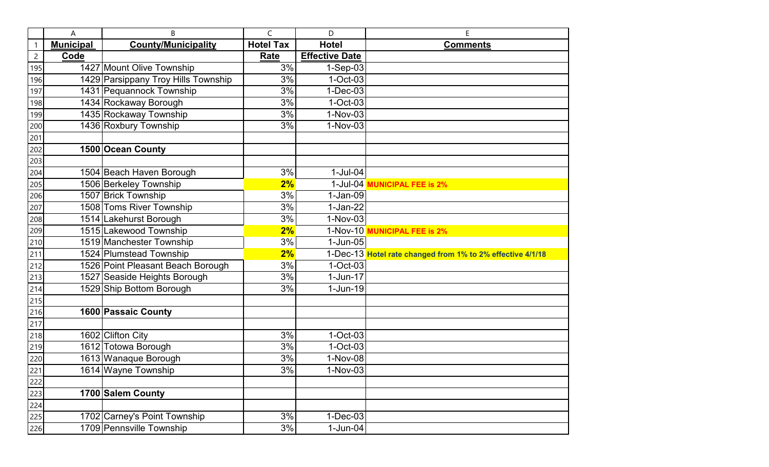|                | A                | B                                   | C                | D                     | E                                                          |
|----------------|------------------|-------------------------------------|------------------|-----------------------|------------------------------------------------------------|
| $\mathbf{1}$   | <b>Municipal</b> | <b>County/Municipality</b>          | <b>Hotel Tax</b> | <b>Hotel</b>          | <b>Comments</b>                                            |
| $\overline{c}$ | Code             |                                     | Rate             | <b>Effective Date</b> |                                                            |
| 195            |                  | 1427 Mount Olive Township           | 3%               | $1-Sep-03$            |                                                            |
| 196            |                  | 1429 Parsippany Troy Hills Township | 3%               | $1$ -Oct-03           |                                                            |
| 197            |                  | 1431 Pequannock Township            | 3%               | $1-Dec-03$            |                                                            |
| 198            |                  | 1434 Rockaway Borough               | 3%               | $1-Oct-03$            |                                                            |
| 199            |                  | 1435 Rockaway Township              | 3%               | 1-Nov-03              |                                                            |
| 200            |                  | 1436 Roxbury Township               | 3%               | 1-Nov-03              |                                                            |
| 201            |                  |                                     |                  |                       |                                                            |
| 202            |                  | 1500 Ocean County                   |                  |                       |                                                            |
| 203            |                  |                                     |                  |                       |                                                            |
| 204            |                  | 1504 Beach Haven Borough            | 3%               | $1-Jul-04$            |                                                            |
| 205            |                  | 1506 Berkeley Township              | 2%               |                       | 1-Jul-04 MUNICIPAL FEE is 2%                               |
| 206            |                  | 1507 Brick Township                 | 3%               | $1-Jan-09$            |                                                            |
| 207            |                  | 1508 Toms River Township            | 3%               | $1-Jan-22$            |                                                            |
| 208            |                  | 1514 Lakehurst Borough              | 3%               | 1-Nov-03              |                                                            |
| 209            |                  | 1515 Lakewood Township              | 2%               |                       | 1-Nov-10 MUNICIPAL FEE is 2%                               |
| 210            |                  | 1519 Manchester Township            | 3%               | $1$ -Jun-05           |                                                            |
| 211            |                  | 1524 Plumstead Township             | 2%               |                       | 1-Dec-13 Hotel rate changed from 1% to 2% effective 4/1/18 |
| 212            |                  | 1526 Point Pleasant Beach Borough   | 3%               | $1-Oct-03$            |                                                            |
| 213            |                  | 1527 Seaside Heights Borough        | 3%               | $1$ -Jun-17           |                                                            |
| 214            |                  | 1529 Ship Bottom Borough            | 3%               | $1-Jun-19$            |                                                            |
| 215            |                  |                                     |                  |                       |                                                            |
| 216            |                  | 1600 Passaic County                 |                  |                       |                                                            |
| 217            |                  |                                     |                  |                       |                                                            |
| 218            |                  | 1602 Clifton City                   | 3%               | $1-Oct-03$            |                                                            |
| 219            |                  | 1612 Totowa Borough                 | 3%               | $1-Oct-03$            |                                                            |
| 220            |                  | 1613 Wanaque Borough                | 3%               | 1-Nov-08              |                                                            |
| 221            |                  | 1614 Wayne Township                 | 3%               | 1-Nov-03              |                                                            |
| 222            |                  |                                     |                  |                       |                                                            |
| 223            |                  | 1700 Salem County                   |                  |                       |                                                            |
| 224            |                  |                                     |                  |                       |                                                            |
| 225            |                  | 1702 Carney's Point Township        | 3%               | $1-Dec-03$            |                                                            |
| 226            |                  | 1709 Pennsville Township            | 3%               | $1$ -Jun-04           |                                                            |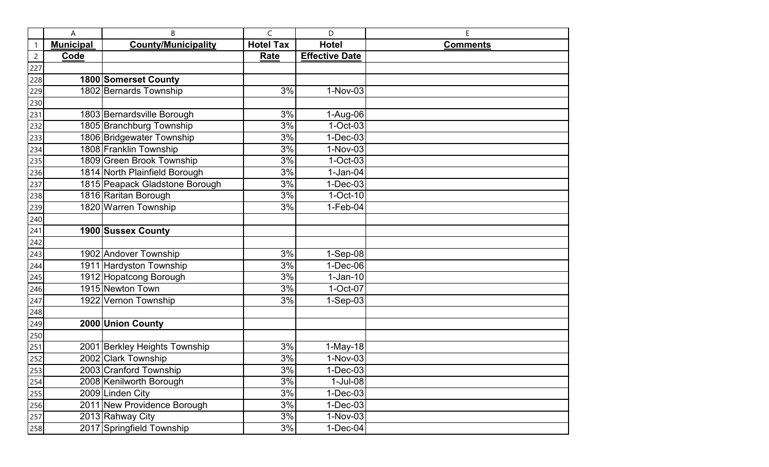|                | A                | B                              | C                | D                     | E               |
|----------------|------------------|--------------------------------|------------------|-----------------------|-----------------|
| 1              | <b>Municipal</b> | <b>County/Municipality</b>     | <b>Hotel Tax</b> | <b>Hotel</b>          | <b>Comments</b> |
| $\overline{c}$ | Code             |                                | Rate             | <b>Effective Date</b> |                 |
| 227            |                  |                                |                  |                       |                 |
| 228            |                  | 1800 Somerset County           |                  |                       |                 |
| 229            |                  | 1802 Bernards Township         | 3%               | 1-Nov-03              |                 |
| 230            |                  |                                |                  |                       |                 |
| 231            |                  | 1803 Bernardsville Borough     | 3%               | 1-Aug-06              |                 |
| 232            |                  | 1805 Branchburg Township       | 3%               | $1-Oct-03$            |                 |
| 233            |                  | 1806 Bridgewater Township      | 3%               | $1-Dec-03$            |                 |
| 234            |                  | 1808 Franklin Township         | 3%               | 1-Nov-03              |                 |
| 235            |                  | 1809 Green Brook Township      | 3%               | $1-Oct-03$            |                 |
| 236            |                  | 1814 North Plainfield Borough  | 3%               | $1-Jan-04$            |                 |
| 237            |                  | 1815 Peapack Gladstone Borough | 3%               | $1-Dec-03$            |                 |
| 238            |                  | 1816 Raritan Borough           | 3%               | $1-Oct-10$            |                 |
| 239            |                  | 1820 Warren Township           | 3%               | $1-Feb-04$            |                 |
| 240            |                  |                                |                  |                       |                 |
| 241            |                  | 1900 Sussex County             |                  |                       |                 |
| 242            |                  |                                |                  |                       |                 |
| 243            |                  | 1902 Andover Township          | 3%               | 1-Sep-08              |                 |
| 244            |                  | 1911 Hardyston Township        | 3%               | $1-Dec-06$            |                 |
| 245            |                  | 1912 Hopatcong Borough         | 3%               | $1-Jan-10$            |                 |
| 246            |                  | 1915 Newton Town               | 3%               | 1-Oct-07              |                 |
| 247            |                  | 1922 Vernon Township           | 3%               | $1-Sep-03$            |                 |
| 248            |                  |                                |                  |                       |                 |
| 249            |                  | 2000 Union County              |                  |                       |                 |
| 250            |                  |                                |                  |                       |                 |
| 251            |                  | 2001 Berkley Heights Township  | 3%               | $1-May-18$            |                 |
| 252            |                  | 2002 Clark Township            | 3%               | 1-Nov-03              |                 |
| 253            |                  | 2003 Cranford Township         | 3%               | 1-Dec-03              |                 |
| 254            |                  | 2008 Kenilworth Borough        | 3%               | $1-Jul-08$            |                 |
| 255            |                  | 2009 Linden City               | 3%               | $1-Dec-03$            |                 |
| 256            |                  | 2011 New Providence Borough    | 3%               | $1-Dec-03$            |                 |
| 257            |                  | 2013 Rahway City               | 3%               | 1-Nov-03              |                 |
| 258            |                  | 2017 Springfield Township      | 3%               | $1-Dec-04$            |                 |